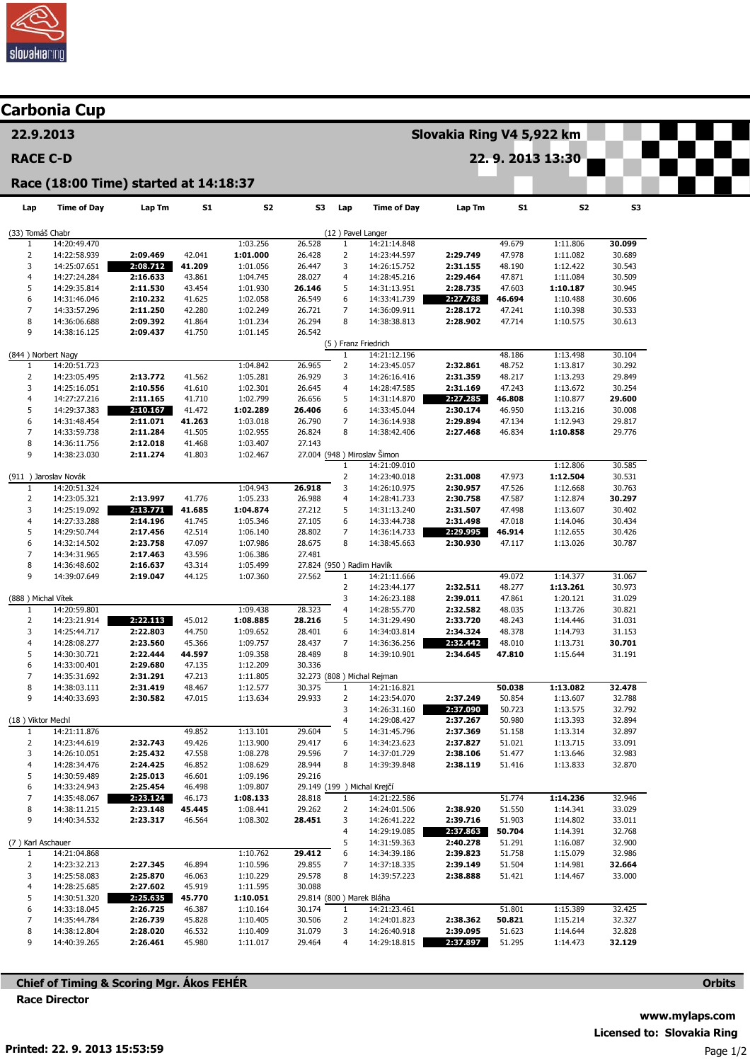

| <b>Carbonia Cup</b>                   |                              |                      |                  |                      |                           |                                |                              |                      |                  |                      |                  |  |  |  |
|---------------------------------------|------------------------------|----------------------|------------------|----------------------|---------------------------|--------------------------------|------------------------------|----------------------|------------------|----------------------|------------------|--|--|--|
| 22.9.2013                             |                              |                      |                  |                      | Slovakia Ring V4 5,922 km |                                |                              |                      |                  |                      |                  |  |  |  |
| <b>RACE C-D</b>                       |                              |                      |                  |                      |                           | 22.9.2013 13:30                |                              |                      |                  |                      |                  |  |  |  |
| Race (18:00 Time) started at 14:18:37 |                              |                      |                  |                      |                           |                                |                              |                      |                  |                      |                  |  |  |  |
| Lap                                   | <b>Time of Day</b>           | Lap Tm               | S1               | S <sub>2</sub>       | <b>S3</b>                 | Lap                            | <b>Time of Day</b>           | Lap Tm               | <b>S1</b>        | S2                   | S3               |  |  |  |
| (33) Tomáš Chabr<br>(12) Pavel Langer |                              |                      |                  |                      |                           |                                |                              |                      |                  |                      |                  |  |  |  |
| $\mathbf{1}$<br>$\overline{2}$        | 14:20:49.470<br>14:22:58.939 | 2:09.469             | 42.041           | 1:03.256<br>1:01.000 | 26.528<br>26.428          | $\mathbf{1}$<br>$\overline{2}$ | 14:21:14.848<br>14:23:44.597 | 2:29.749             | 49.679<br>47.978 | 1:11.806<br>1:11.082 | 30.099<br>30.689 |  |  |  |
| 3                                     | 14:25:07.651                 | 2:08.712             | 41.209           | 1:01.056             | 26.447                    | 3                              | 14:26:15.752                 | 2:31.155             | 48.190           | 1:12.422             | 30.543           |  |  |  |
| 4                                     | 14:27:24.284                 | 2:16.633             | 43.861           | 1:04.745             | 28.027                    | 4                              | 14:28:45.216                 | 2:29.464             | 47.871           | 1:11.084             | 30.509           |  |  |  |
| 5                                     | 14:29:35.814                 | 2:11.530             | 43.454           | 1:01.930             | 26.146                    | 5                              | 14:31:13.951                 | 2:28.735             | 47.603           | 1:10.187             | 30.945           |  |  |  |
| 6                                     | 14:31:46.046                 | 2:10.232             | 41.625           | 1:02.058             | 26.549                    | 6                              | 14:33:41.739                 | 2:27.788             | 46.694           | 1:10.488             | 30.606           |  |  |  |
| $\overline{7}$<br>8                   | 14:33:57.296<br>14:36:06.688 | 2:11.250<br>2:09.392 | 42.280<br>41.864 | 1:02.249<br>1:01.234 | 26.721<br>26.294          | 7<br>8                         | 14:36:09.911<br>14:38:38.813 | 2:28.172<br>2:28.902 | 47.241<br>47.714 | 1:10.398<br>1:10.575 | 30.533<br>30.613 |  |  |  |
| 9                                     | 14:38:16.125                 | 2:09.437             | 41.750           | 1:01.145             | 26.542                    |                                |                              |                      |                  |                      |                  |  |  |  |
|                                       |                              |                      |                  |                      |                           |                                | (5) Franz Friedrich          |                      |                  |                      |                  |  |  |  |
| (844) Norbert Nagy                    |                              |                      |                  |                      |                           | 1                              | 14:21:12.196                 |                      | 48.186           | 1:13.498             | 30.104           |  |  |  |
| 1                                     | 14:20:51.723                 |                      |                  | 1:04.842             | 26.965                    | $\overline{2}$                 | 14:23:45.057                 | 2:32.861             | 48.752           | 1:13.817             | 30.292           |  |  |  |
| $\overline{2}$<br>3                   | 14:23:05.495<br>14:25:16.051 | 2:13.772<br>2:10.556 | 41.562<br>41.610 | 1:05.281<br>1:02.301 | 26.929<br>26.645          | 3<br>4                         | 14:26:16.416<br>14:28:47.585 | 2:31.359<br>2:31.169 | 48.217<br>47.243 | 1:13.293<br>1:13.672 | 29.849<br>30.254 |  |  |  |
| $\overline{4}$                        | 14:27:27.216                 | 2:11.165             | 41.710           | 1:02.799             | 26.656                    | 5                              | 14:31:14.870                 | 2:27.285             | 46.808           | 1:10.877             | 29.600           |  |  |  |
| 5                                     | 14:29:37.383                 | 2:10.167             | 41.472           | 1:02.289             | 26.406                    | 6                              | 14:33:45.044                 | 2:30.174             | 46.950           | 1:13.216             | 30.008           |  |  |  |
| 6                                     | 14:31:48.454                 | 2:11.071             | 41.263           | 1:03.018             | 26.790                    | 7                              | 14:36:14.938                 | 2:29.894             | 47.134           | 1:12.943             | 29.817           |  |  |  |
| $\overline{7}$                        | 14:33:59.738                 | 2:11.284             | 41.505           | 1:02.955             | 26.824                    | 8                              | 14:38:42.406                 | 2:27.468             | 46.834           | 1:10.858             | 29.776           |  |  |  |
| 8<br>9                                | 14:36:11.756<br>14:38:23.030 | 2:12.018<br>2:11.274 | 41.468<br>41.803 | 1:03.407<br>1:02.467 | 27.143                    |                                | 27.004 (948) Miroslav Šimon  |                      |                  |                      |                  |  |  |  |
|                                       |                              |                      |                  |                      |                           | $\mathbf{1}$                   | 14:21:09.010                 |                      |                  | 1:12.806             | 30.585           |  |  |  |
| (911 ) Jaroslav Novák                 |                              |                      |                  |                      |                           | $\mathbf{2}$                   | 14:23:40.018                 | 2:31.008             | 47.973           | 1:12.504             | 30.531           |  |  |  |
| 1                                     | 14:20:51.324                 |                      |                  | 1:04.943             | 26.918                    | 3                              | 14:26:10.975                 | 2:30.957             | 47.526           | 1:12.668             | 30.763           |  |  |  |
| 2                                     | 14:23:05.321                 | 2:13.997             | 41.776           | 1:05.233             | 26.988                    | 4                              | 14:28:41.733                 | 2:30.758             | 47.587           | 1:12.874             | 30.297           |  |  |  |
| 3<br>4                                | 14:25:19.092<br>14:27:33.288 | 2:13.771<br>2:14.196 | 41.685<br>41.745 | 1:04.874<br>1:05.346 | 27.212<br>27.105          | 5<br>6                         | 14:31:13.240<br>14:33:44.738 | 2:31.507<br>2:31.498 | 47.498<br>47.018 | 1:13.607<br>1:14.046 | 30.402<br>30.434 |  |  |  |
| 5                                     | 14:29:50.744                 | 2:17.456             | 42.514           | 1:06.140             | 28.802                    | $\overline{7}$                 | 14:36:14.733                 | 2:29.995             | 46.914           | 1:12.655             | 30.426           |  |  |  |
| 6                                     | 14:32:14.502                 | 2:23.758             | 47.097           | 1:07.986             | 28.675                    | 8                              | 14:38:45.663                 | 2:30.930             | 47.117           | 1:13.026             | 30.787           |  |  |  |
| $\overline{7}$                        | 14:34:31.965                 | 2:17.463             | 43.596           | 1:06.386             | 27.481                    |                                |                              |                      |                  |                      |                  |  |  |  |
| 8                                     | 14:36:48.602                 | 2:16.637             | 43.314           | 1:05.499             |                           |                                | 27.824 (950) Radim Havlík    |                      |                  |                      |                  |  |  |  |
| 9                                     | 14:39:07.649                 | 2:19.047             | 44.125           | 1:07.360             | 27.562                    | $\mathbf{1}$<br>$\overline{2}$ | 14:21:11.666<br>14:23:44.177 | 2:32.511             | 49.072<br>48.277 | 1:14.377<br>1:13.261 | 31.067<br>30.973 |  |  |  |
| (888) Michal Vítek                    |                              |                      |                  |                      |                           | 3                              | 14:26:23.188                 | 2:39.011             | 47.861           | 1:20.121             | 31.029           |  |  |  |
| 1                                     | 14:20:59.801                 |                      |                  | 1:09.438             | 28.323                    | 4                              | 14:28:55.770                 | 2:32.582             | 48.035           | 1:13.726             | 30.821           |  |  |  |
| 2                                     | 14:23:21.914                 | 2:22.113             | 45.012           | 1:08.885             | 28.216                    | 5                              | 14:31:29.490                 | 2:33.720             | 48.243           | 1:14.446             | 31.031           |  |  |  |
| 3                                     | 14:25:44.717                 | 2:22.803             | 44.750           | 1:09.652             | 28.401                    | 6                              | 14:34:03.814                 | 2:34.324             | 48.378           | 1:14.793             | 31.153           |  |  |  |
| 4<br>5                                | 14:28:08.277<br>14:30:30.721 | 2:23.560<br>2:22.444 | 45.366<br>44.597 | 1:09.757<br>1:09.358 | 28.437<br>28.489          | 7<br>8                         | 14:36:36.256<br>14:39:10.901 | 2:32.442<br>2:34.645 | 48.010<br>47.810 | 1:13.731<br>1:15.644 | 30.701<br>31.191 |  |  |  |
| 6                                     | 14:33:00.401                 | 2:29.680             | 47.135           | 1:12.209             | 30.336                    |                                |                              |                      |                  |                      |                  |  |  |  |
| $\overline{7}$                        | 14:35:31.692                 | 2:31.291             | 47.213           | 1:11.805             |                           |                                | 32.273 (808 ) Michal Rejman  |                      |                  |                      |                  |  |  |  |
| 8                                     | 14:38:03.111                 | 2:31.419             | 48.467           | 1:12.577             | 30.375                    | $\mathbf{1}$                   | 14:21:16.821                 |                      | 50.038           | 1:13.082             | 32.478           |  |  |  |
| 9                                     | 14:40:33.693                 | 2:30.582             | 47.015           | 1:13.634             | 29.933                    | $\overline{2}$                 | 14:23:54.070                 | 2:37.249             | 50.854           | 1:13.607             | 32.788           |  |  |  |
| (18) Viktor Mechl                     |                              |                      |                  |                      |                           | 3<br>$\overline{4}$            | 14:26:31.160<br>14:29:08.427 | 2:37.090<br>2:37.267 | 50.723<br>50.980 | 1:13.575<br>1:13.393 | 32.792<br>32.894 |  |  |  |
| $\mathbf{1}$                          | 14:21:11.876                 |                      | 49.852           | 1:13.101             | 29.604                    | 5                              | 14:31:45.796                 | 2:37.369             | 51.158           | 1:13.314             | 32.897           |  |  |  |
| $\overline{2}$                        | 14:23:44.619                 | 2:32.743             | 49.426           | 1:13.900             | 29.417                    | 6                              | 14:34:23.623                 | 2:37.827             | 51.021           | 1:13.715             | 33.091           |  |  |  |
| 3                                     | 14:26:10.051                 | 2:25.432             | 47.558           | 1:08.278             | 29.596                    | 7                              | 14:37:01.729                 | 2:38.106             | 51.477           | 1:13.646             | 32.983           |  |  |  |
| 4<br>5                                | 14:28:34.476                 | 2:24.425<br>2:25.013 | 46.852<br>46.601 | 1:08.629             | 28.944                    | 8                              | 14:39:39.848                 | 2:38.119             | 51.416           | 1:13.833             | 32.870           |  |  |  |
| 6                                     | 14:30:59.489<br>14:33:24.943 | 2:25.454             | 46.498           | 1:09.196<br>1:09.807 | 29.216                    |                                | 29.149 (199 ) Michal Krejčí  |                      |                  |                      |                  |  |  |  |
| $\overline{7}$                        | 14:35:48.067                 | 2:23.124             | 46.173           | 1:08.133             | 28.818                    | $\mathbf{1}$                   | 14:21:22.586                 |                      | 51.774           | 1:14.236             | 32.946           |  |  |  |
| 8                                     | 14:38:11.215                 | 2:23.148             | 45.445           | 1:08.441             | 29.262                    | $\overline{2}$                 | 14:24:01.506                 | 2:38.920             | 51.550           | 1:14.341             | 33.029           |  |  |  |
| 9                                     | 14:40:34.532                 | 2:23.317             | 46.564           | 1:08.302             | 28.451                    | 3                              | 14:26:41.222                 | 2:39.716             | 51.903           | 1:14.802             | 33.011           |  |  |  |
|                                       |                              |                      |                  |                      |                           | $\overline{4}$                 | 14:29:19.085                 | 2:37.863             | 50.704           | 1:14.391             | 32.768           |  |  |  |
| (7) Karl Aschauer<br>$\mathbf{1}$     | 14:21:04.868                 |                      |                  | 1:10.762             | 29.412                    | 5<br>6                         | 14:31:59.363<br>14:34:39.186 | 2:40.278<br>2:39.823 | 51.291<br>51.758 | 1:16.087<br>1:15.079 | 32.900<br>32.986 |  |  |  |
| 2                                     | 14:23:32.213                 | 2:27.345             | 46.894           | 1:10.596             | 29.855                    | 7                              | 14:37:18.335                 | 2:39.149             | 51.504           | 1:14.981             | 32.664           |  |  |  |
| 3                                     | 14:25:58.083                 | 2:25.870             | 46.063           | 1:10.229             | 29.578                    | 8                              | 14:39:57.223                 | 2:38.888             | 51.421           | 1:14.467             | 33.000           |  |  |  |
| 4                                     | 14:28:25.685                 | 2:27.602             | 45.919           | 1:11.595             | 30.088                    |                                |                              |                      |                  |                      |                  |  |  |  |
| 5                                     | 14:30:51.320                 | 2:25.635             | 45.770           | 1:10.051             |                           |                                | 29.814 (800) Marek Bláha     |                      |                  |                      |                  |  |  |  |
| 6<br>$\overline{7}$                   | 14:33:18.045<br>14:35:44.784 | 2:26.725<br>2:26.739 | 46.387<br>45.828 | 1:10.164<br>1:10.405 | 30.174<br>30.506          | $\mathbf{1}$<br>$\overline{2}$ | 14:21:23.461<br>14:24:01.823 | 2:38.362             | 51.801<br>50.821 | 1:15.389<br>1:15.214 | 32.425<br>32.327 |  |  |  |
| 8                                     | 14:38:12.804                 | 2:28.020             | 46.532           | 1:10.409             | 31.079                    | 3                              | 14:26:40.918                 | 2:39.095             | 51.623           | 1:14.644             | 32.828           |  |  |  |
| 9                                     | 14:40:39.265                 | 2:26.461             | 45.980           | 1:11.017             | 29.464                    | 4                              | 14:29:18.815                 | 2:37.897             | 51.295           | 1:14.473             | 32.129           |  |  |  |

Chief of Timing & Scoring Mgr. Ákos FEHÉR Race Director

**Orbits**